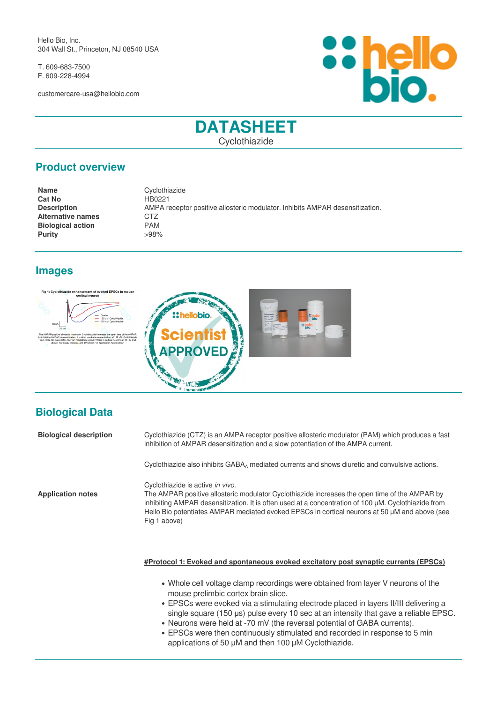Hello Bio, Inc. 304 Wall St., Princeton, NJ 08540 USA

T. 609-683-7500 F. 609-228-4994

customercare-usa@hellobio.com



# **DATASHEET**

Cyclothiazide

# **Product overview**

**Name** Cyclothiazide **Cat No <br>Description Manual AMPA report of the AMPA report of the AMPA report of the AMPA report of the AMPA report of the AMPA report of the AMPA report of the AMPA report of the AMPA report of the AMPA report of the AMPA Description** AMPA receptor positive allosteric modulator. Inhibits AMPAR desensitization. **Alternative names** CTZ<br>**Biological action** PAM **Biological action Purity** >98%

**ALS** 

# **Images**





| <b>Biological description</b> | Cyclothiazide (CTZ) is an AMPA receptor positive allosteric modulator (PAM) which produces a fast<br>inhibition of AMPAR desensitization and a slow potentiation of the AMPA current.                                                                                                                                                                     |
|-------------------------------|-----------------------------------------------------------------------------------------------------------------------------------------------------------------------------------------------------------------------------------------------------------------------------------------------------------------------------------------------------------|
|                               | Cyclothiazide also inhibits $GABA_A$ mediated currents and shows diuretic and convulsive actions.                                                                                                                                                                                                                                                         |
| <b>Application notes</b>      | Cyclothiazide is active in vivo.<br>The AMPAR positive allosteric modulator Cyclothiazide increases the open time of the AMPAR by<br>inhibiting AMPAR desensitization. It is often used at a concentration of 100 µM. Cyclothiazide from<br>Hello Bio potentiates AMPAR mediated evoked EPSCs in cortical neurons at 50 µM and above (see<br>Fig 1 above) |
|                               | #Protocol 1: Evoked and spontaneous evoked excitatory post synaptic currents (EPSCs)                                                                                                                                                                                                                                                                      |

- Whole cell voltage clamp recordings were obtained from layer V neurons of the mouse prelimbic cortex brain slice.
- EPSCs were evoked via a stimulating electrode placed in layers II/III delivering a single square (150 μs) pulse every 10 sec at an intensity that gave a reliable EPSC.
- Neurons were held at -70 mV (the reversal potential of GABA currents).
- EPSCs were then continuously stimulated and recorded in response to 5 min applications of 50 μM and then 100 μM Cyclothiazide.